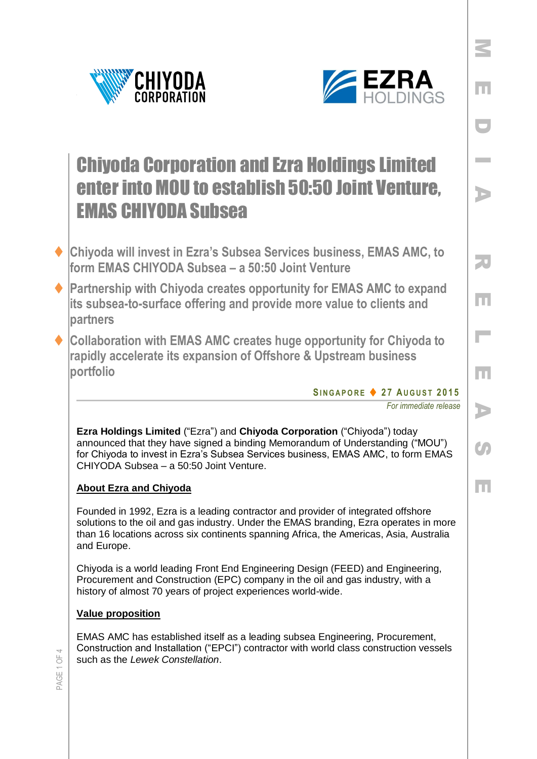



E

D

I

A

R

E

 $\mathbb{R}^n$ 

E

A

Co

E

# Chiyoda Corporation and Ezra Holdings Limited enter into MOU to establish 50:50 Joint Venture, EMAS CHIYODA Subsea

- **Chiyoda will invest in Ezra's Subsea Services business, EMAS AMC, to form EMAS CHIYODA Subsea – a 50:50 Joint Venture**
- **Partnership with Chiyoda creates opportunity for EMAS AMC to expand its subsea-to-surface offering and provide more value to clients and partners**
- **Collaboration with EMAS AMC creates huge opportunity for Chiyoda to rapidly accelerate its expansion of Offshore & Upstream business portfolio**

**SI N G A P O R E 2 7 AU G U S T 201 5**

*For immediate release* 

**Ezra Holdings Limited** ("Ezra") and **Chiyoda Corporation** ("Chiyoda") today announced that they have signed a binding Memorandum of Understanding ("MOU") for Chiyoda to invest in Ezra's Subsea Services business, EMAS AMC, to form EMAS CHIYODA Subsea – a 50:50 Joint Venture.

## **About Ezra and Chiyoda**

Founded in 1992, Ezra is a leading contractor and provider of integrated offshore solutions to the oil and gas industry. Under the EMAS branding, Ezra operates in more than 16 locations across six continents spanning Africa, the Americas, Asia, Australia and Europe.

Chiyoda is a world leading Front End Engineering Design (FEED) and Engineering, Procurement and Construction (EPC) company in the oil and gas industry, with a history of almost 70 years of project experiences world-wide.

### **Value proposition**

EMAS AMC has established itself as a leading subsea Engineering, Procurement, Construction and Installation ("EPCI") contractor with world class construction vessels such as the *Lewek Constellation*.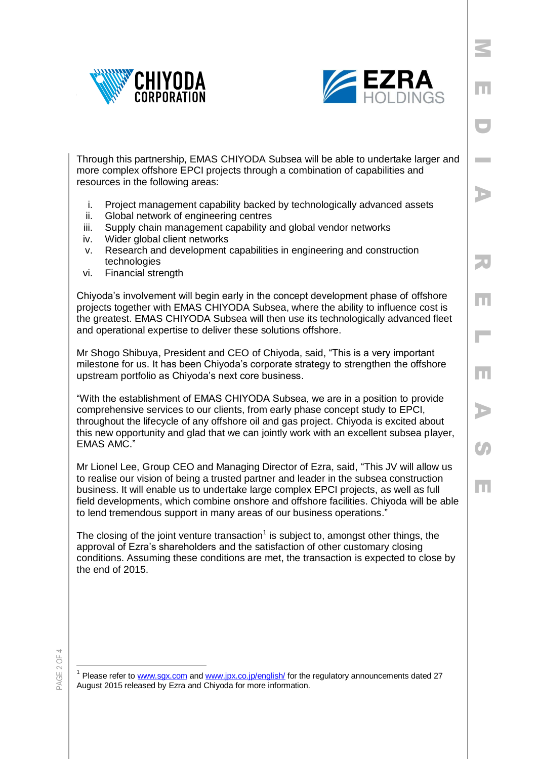



E

D

I

A

R

E

L

E

A

 $\boldsymbol{G}$ 

E

Through this partnership, EMAS CHIYODA Subsea will be able to undertake larger and more complex offshore EPCI projects through a combination of capabilities and resources in the following areas:

- i. Project management capability backed by technologically advanced assets
- ii. Global network of engineering centres
- iii. Supply chain management capability and global vendor networks
- iv. Wider global client networks
- v. Research and development capabilities in engineering and construction technologies
- vi. Financial strength

Chiyoda's involvement will begin early in the concept development phase of offshore projects together with EMAS CHIYODA Subsea, where the ability to influence cost is the greatest. EMAS CHIYODA Subsea will then use its technologically advanced fleet and operational expertise to deliver these solutions offshore.

Mr Shogo Shibuya, President and CEO of Chiyoda, said, "This is a very important milestone for us. It has been Chiyoda's corporate strategy to strengthen the offshore upstream portfolio as Chiyoda's next core business.

"With the establishment of EMAS CHIYODA Subsea, we are in a position to provide comprehensive services to our clients, from early phase concept study to EPCI, throughout the lifecycle of any offshore oil and gas project. Chiyoda is excited about this new opportunity and glad that we can jointly work with an excellent subsea player, EMAS AMC."

Mr Lionel Lee, Group CEO and Managing Director of Ezra, said, "This JV will allow us to realise our vision of being a trusted partner and leader in the subsea construction business. It will enable us to undertake large complex EPCI projects, as well as full field developments, which combine onshore and offshore facilities. Chiyoda will be able to lend tremendous support in many areas of our business operations."

The closing of the joint venture transaction<sup>1</sup> is subject to, amongst other things, the approval of Ezra's shareholders and the satisfaction of other customary closing conditions. Assuming these conditions are met, the transaction is expected to close by the end of 2015.

PAGE 2 OF 4

 $\overline{a}$ 

<sup>&</sup>lt;sup>1</sup> Please refer to [www.sgx.com](http://www.sgx.com/) and [www.jpx.co.jp/english/](http://www.jpx.co.jp/english/) for the regulatory announcements dated 27 August 2015 released by Ezra and Chiyoda for more information.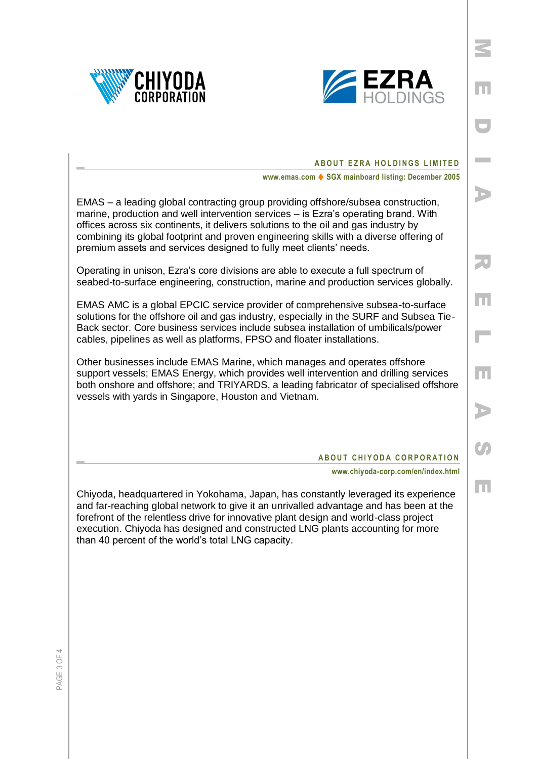



E

D

**Inches** 

A

R

E

L

E

A

 $\mathcal{S}_{\mathcal{P}}$ 

E

#### **ABOUT EZRA HOLDINGS LIMITED**

**www.emas.com ♦ SGX mainboard listing: December 2005** 

EMAS – a leading global contracting group providing offshore/subsea construction, marine, production and well intervention services – is Ezra's operating brand. With offices across six continents, it delivers solutions to the oil and gas industry by combining its global footprint and proven engineering skills with a diverse offering of premium assets and services designed to fully meet clients' needs.

Operating in unison, Ezra's core divisions are able to execute a full spectrum of seabed-to-surface engineering, construction, marine and production services globally.

EMAS AMC is a global EPCIC service provider of comprehensive subsea-to-surface solutions for the offshore oil and gas industry, especially in the SURF and Subsea Tie-Back sector. Core business services include subsea installation of umbilicals/power cables, pipelines as well as platforms, FPSO and floater installations.

Other businesses include EMAS Marine, which manages and operates offshore support vessels; EMAS Energy, which provides well intervention and drilling services both onshore and offshore; and TRIYARDS, a leading fabricator of specialised offshore vessels with yards in Singapore, Houston and Vietnam.

#### **ABOUT CHIYODA CORPORATION**

**www.chiyoda-corp.com/en/index.html**

Chiyoda, headquartered in Yokohama, Japan, has constantly leveraged its experience and far-reaching global network to give it an unrivalled advantage and has been at the forefront of the relentless drive for innovative plant design and world-class project execution. Chiyoda has designed and constructed LNG plants accounting for more than 40 percent of the world's total LNG capacity.